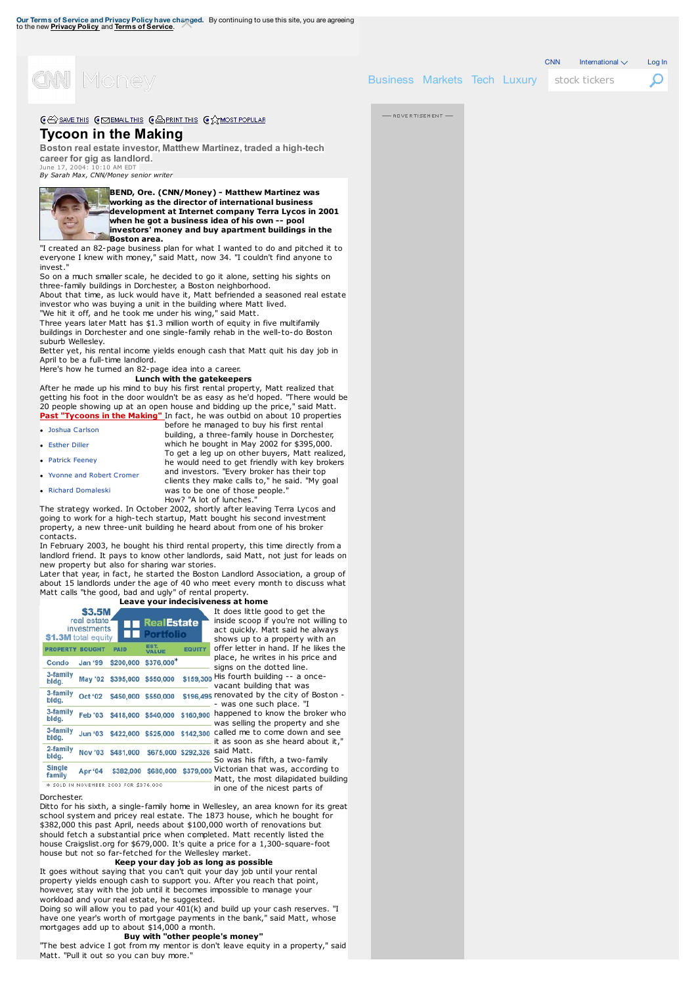

Business Markets Tech Luxury stock tickers

**ADVERTISEMENT** 

 $CNN$  International  $\vee$  Log In

Ω

CE SAVE THIS CO EMAIL THIS CAPRINT THIS CA MOST POPULAR

## **[Tycoon](http://money.cnn.com/) in the Making**

**Boston real estate investor, Matthew Martinez, traded a high-tech career for gig as landlord.**

June 17, 2004: 10:10 AM EDT *By Sarah Max, CNN/Money senior writer*



**BEND, Ore. (CNN/Money) - Matthew Martinez was working as the director of international business** [developme](http://money.cnn.com/2004/06/16/real_estate/investment_prop/tycoon_martinez/#)nt at Internet [company](http://money.cnn.com/2004/06/16/real_estate/investment_prop/tycoon_martinez/#) Terra [Lycos](http://money.cnn.com/2004/06/16/real_estate/investment_prop/tycoon_martinez/#) in 2001<br>when he got a [business](http://money.cnn.com/media/) idea of his own -- pool **investors' money and buy apartment buildings in [the](http://money.cnn.com/news/companies/who-is/) Boston area.**

"I created an 82-page business plan for what I wanted to do and pitched it to everyone I knew with money," said [Matt,](http://money.cnn.com/news/companies/access/) now 34. "I couldn't find a[n](http://money.cnn.com/interactive/luxury/rich-quiz/)[yone](http://money.cnn.com/news/companies/5-stunning-stats/) [to](http://money.cnn.com/data/hotstocks/) invest."

So on a much smaller scale, he decided to go it alone, setting his sights on [three-family](http://money.cnn.com/gallery/technology/2015/07/02/best-travel-startups/index.html) buildings in Dorchester, a Boston neighborhood. About that time, as luck would have it, Matt [befriended](http://money.cnn.com/data/markets/profit/) a seasoned real [estate](http://money.cnn.com/data/dow30/)

investor who was buying a unit in the [building](http://money.cnn.com/news/economy/davos/) where Matt lived. "We hit it off, and he took me under his wing," said Matt.

Three years later Matt has \$1.3 million worth of equity in five multifamily buildings in Dorchester and one [single-family](http://money.cnn.com/investing/) rehab in the well-to-do Bo[ston](http://money.cnn.com/data/afterhours/) suburb Wellesley.

Better yet, his rental income yields enough cash that Matt quit his day job in April to be a full-time landlord.

### Here's how he turned an 82-page idea into a career. **Lunch with the [gatekeepers](http://money.cnn.com/news/economy/)**

**Past "Tycoons in the Making"** In fact, he was outbid on about 10 properties After he made up his mind to buy his first rental property, Matt realized [that](http://money.cnn.com/data/world_markets/americas/) getting his foot in the door wouldn't be as easy as he'd hoped. "There would be 20 people showing up at an open house and bidding up the price," said Matt.

| . Joshua Carlson | before he managed to buy his first rental       |
|------------------|-------------------------------------------------|
|                  | building, a three-family house in Dorchester,   |
| • Esther Diller  | which he bought in May 2002 for \$395,000.      |
|                  | To get a leg up on other buyers, Matt realized, |
| • Patrick Feeney | he would need to get friendly with key brokers  |

• Yvonne and Robert Cromer

• Richard Domaleski

clients they make calls to," he said. "My goal was to be one of those people. How? "A lot of lunches. The strategy worked. In October 2002, shortly after leaving Terra Lycos and going to work for a high-tech startup, Matt bought his second investment

and investors. "Every broker has their top

property, a new three-unit building he heard about from one of his broker contacts.

In February 2003, he bought his third rental property, this time directly from a landlord friend. It pays to know other landlords, said Matt, not just for leads on new property but also for sharing war stories.

Later that year, in fact, he started the Boston Landlord Association, a group of about 15 landlords under the age of 40 who meet every month to discuss what Matt calls "the good, bad and ugly" of rental property. **Leave your indecisiveness at home**

|                         | <b>\$3.5M</b><br>real estate<br>investments<br>\$1.3M total equity |             | <b>RealEstate</b><br><b>Portfolio</b> |                     |
|-------------------------|--------------------------------------------------------------------|-------------|---------------------------------------|---------------------|
|                         | PROPERTY BOUGHT                                                    | <b>PAID</b> | EST.<br><b>VALUE</b>                  | <b>EQUITY</b>       |
| Condo                   | <b>Jan '99</b>                                                     | \$200,000   | \$376,000                             |                     |
| 3-family<br>bldg.       | May '02                                                            | \$395,000   | \$550,000                             | \$159,300           |
| 3-family<br>bldg.       | Oct '02                                                            | \$450,000   | \$550,000                             | \$196,495           |
| 3-family<br>bldg.       | <b>Feb '03</b>                                                     | \$418,000   | \$540,000                             | \$160,900           |
| 3-family<br>bldg.       | <b>Jun '03</b>                                                     | \$422,000   | \$525,000                             | \$142,300           |
| 2-family<br>bldg.       | Nov '03                                                            | \$481,000   |                                       | \$675,000 \$292,326 |
| <b>Single</b><br>family | Apr '04                                                            | \$382.000   | \$680,000                             | \$379,000           |

does little good to get the ide scoop if you're not willing to quickly. Matt said he always ows up to a property with an er letter in hand. If he likes the ce, he writes in his price and ns on the dotted line. fourth building -- a once cant building that was novated by the city of Boston vas one such place. "I happened to know the broker who is selling the property and she lled me to come down and see is soon as she heard about it, d Matt. was his fifth, a two-family

Victorian that was, according to<br>Matt, the most dilapidated building in one of the nicest parts of

#### **Dorchester.**

Ditto for his sixth, a [single-family](http://money.cnn.com/2004/03/16/pf/yourhome/tycoon_rp_carlson/index.htm) home in Wellesley, an area known for its great school system and pricey real estate. The 1873 house, which he bought for \$382,000 this past April, needs about \$100,000 worth of renovations but should fetch a substantial price when completed. Matt recently listed the house Cra[igslist.org](http://money.cnn.com/2004/03/24/pf/yourhome/tycoon_rp_diller/index.htm) for \$679,000. It's quite a price for a 1,300-square-foot house but not so far-fetched for the Wellesley market.

## **Keep your day job as long as possible**

It goes without [saying](http://money.cnn.com/2004/04/28/real_estate/investment_prop/tycoon_feeney/index.htm) that you can't quit your day job until your rental property yields enough cash to support you. After you reach that point, however, stay with the job until it becomes impossible to manage your workload and your real estate, he [suggested.](http://money.cnn.com/2004/05/12/real_estate/investment_prop/tycoon_cromer/index.htm) Doing so will allow you to pad your 401(k) and build up your cash reserves. "I have one year's worth of mortgage payments in the bank," said Matt, whose

# mortgages add up to about [\\$14,000](http://money.cnn.com/2004/05/26/real_estate/investment_prop/tycoon_domaleski/index.htm) a month. **Buy with "other people's money"**

"The best advice I got from my mentor is don't leave equity in a property," said Matt. "Pull it out so you can buy more."